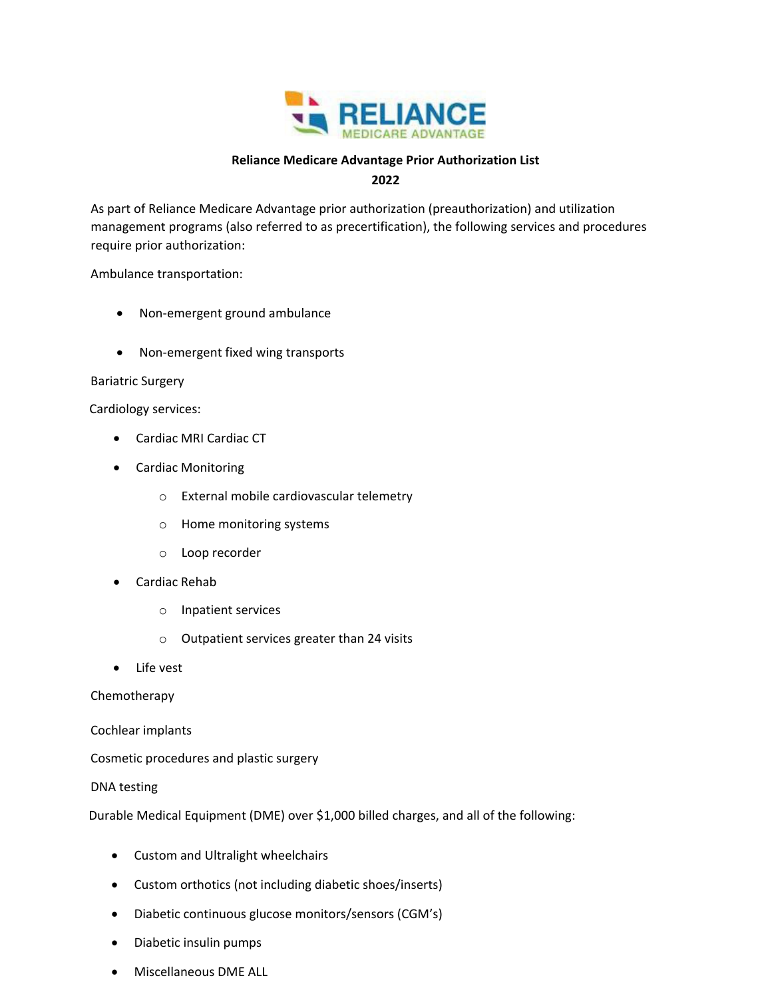

## **Reliance Medicare Advantage Prior Authorization List**

**2022**

As part of Reliance Medicare Advantage prior authorization (preauthorization) and utilization management programs (also referred to as precertification), the following services and procedures require prior authorization:

Ambulance transportation:

- Non-emergent ground ambulance
- Non-emergent fixed wing transports

## Bariatric Surgery

Cardiology services:

- Cardiac MRI Cardiac CT
- Cardiac Monitoring
	- o External mobile cardiovascular telemetry
	- o Home monitoring systems
	- o Loop recorder
- Cardiac Rehab
	- o Inpatient services
	- o Outpatient services greater than 24 visits
- Life vest

Chemotherapy

Cochlear implants

Cosmetic procedures and plastic surgery

## DNA testing

Durable Medical Equipment (DME) over \$1,000 billed charges, and all of the following:

- Custom and Ultralight wheelchairs
- Custom orthotics (not including diabetic shoes/inserts)
- Diabetic continuous glucose monitors/sensors (CGM's)
- Diabetic insulin pumps
- Miscellaneous DME ALL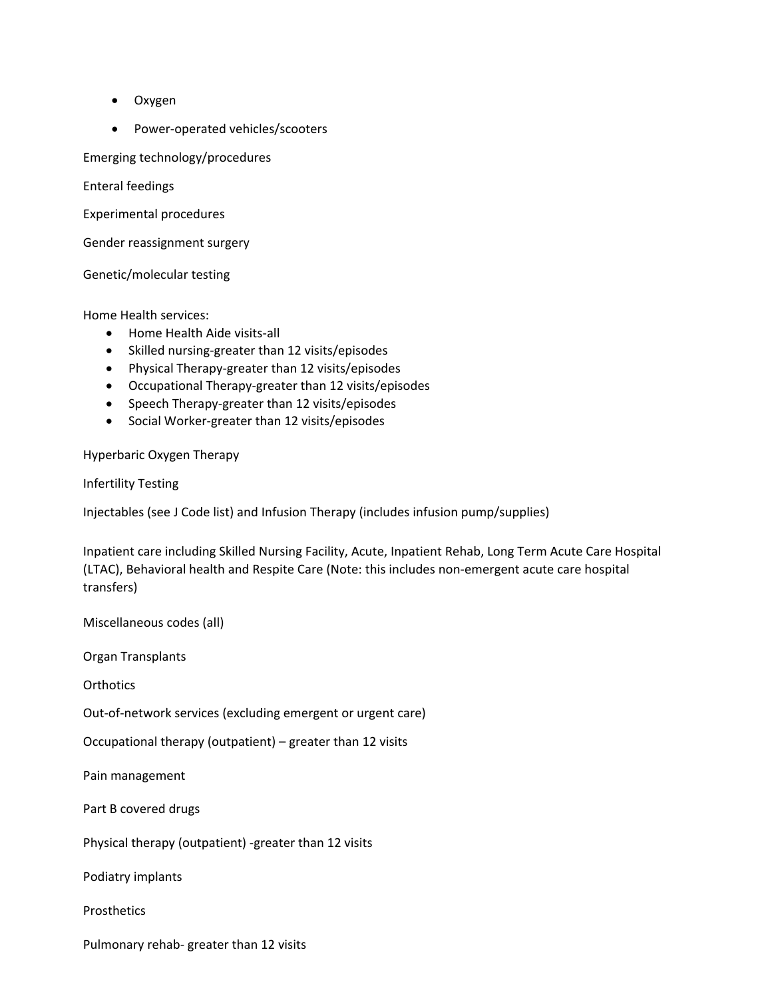- Oxygen
- Power-operated vehicles/scooters

Emerging technology/procedures

Enteral feedings

Experimental procedures

Gender reassignment surgery

Genetic/molecular testing

Home Health services:

- Home Health Aide visits-all
- Skilled nursing-greater than 12 visits/episodes
- Physical Therapy-greater than 12 visits/episodes
- Occupational Therapy-greater than 12 visits/episodes
- Speech Therapy-greater than 12 visits/episodes
- Social Worker-greater than 12 visits/episodes

Hyperbaric Oxygen Therapy

Infertility Testing

Injectables (see J Code list) and Infusion Therapy (includes infusion pump/supplies)

Inpatient care including Skilled Nursing Facility, Acute, Inpatient Rehab, Long Term Acute Care Hospital (LTAC), Behavioral health and Respite Care (Note: this includes non‐emergent acute care hospital transfers)

Miscellaneous codes (all)

Organ Transplants

**Orthotics** 

Out‐of‐network services (excluding emergent or urgent care)

Occupational therapy (outpatient) – greater than 12 visits

Pain management

Part B covered drugs

Physical therapy (outpatient) ‐greater than 12 visits

Podiatry implants

**Prosthetics** 

Pulmonary rehab‐ greater than 12 visits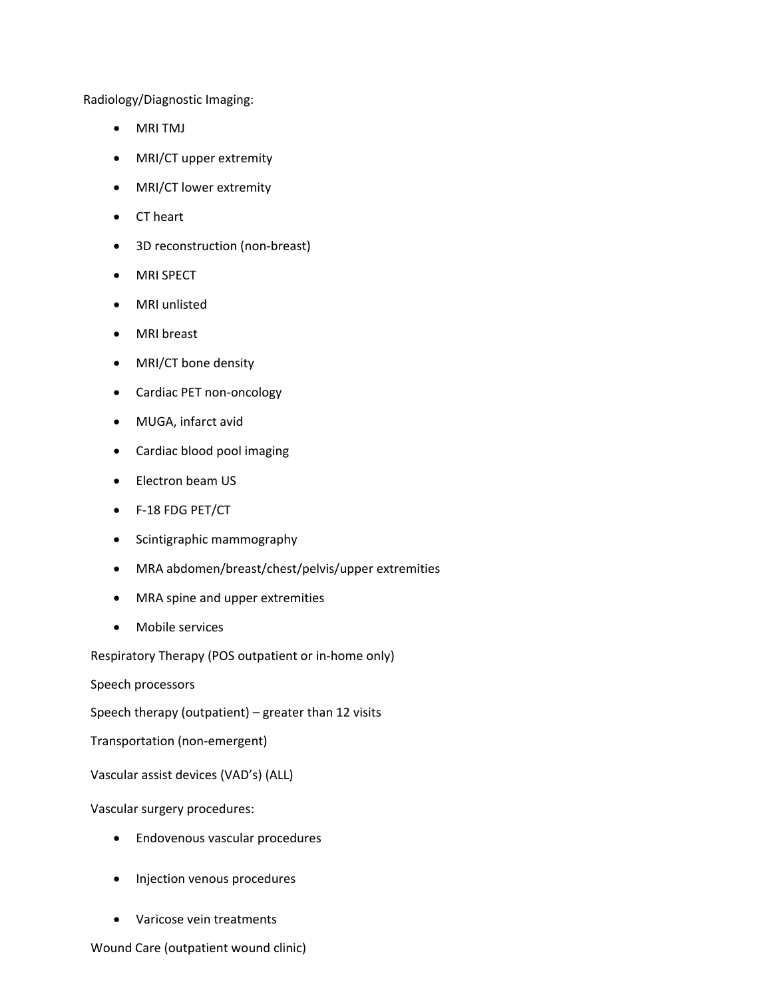Radiology/Diagnostic Imaging:

- MRI TMJ
- MRI/CT upper extremity
- MRI/CT lower extremity
- CT heart
- 3D reconstruction (non-breast)
- MRI SPECT
- MRI unlisted
- MRI breast
- MRI/CT bone density
- Cardiac PET non-oncology
- MUGA, infarct avid
- Cardiac blood pool imaging
- Electron beam US
- F‐18 FDG PET/CT
- Scintigraphic mammography
- MRA abdomen/breast/chest/pelvis/upper extremities
- MRA spine and upper extremities
- Mobile services

Respiratory Therapy (POS outpatient or in‐home only)

Speech processors

Speech therapy (outpatient) – greater than 12 visits

Transportation (non‐emergent)

Vascular assist devices (VAD's) (ALL)

Vascular surgery procedures:

- Endovenous vascular procedures
- Injection venous procedures
- Varicose vein treatments